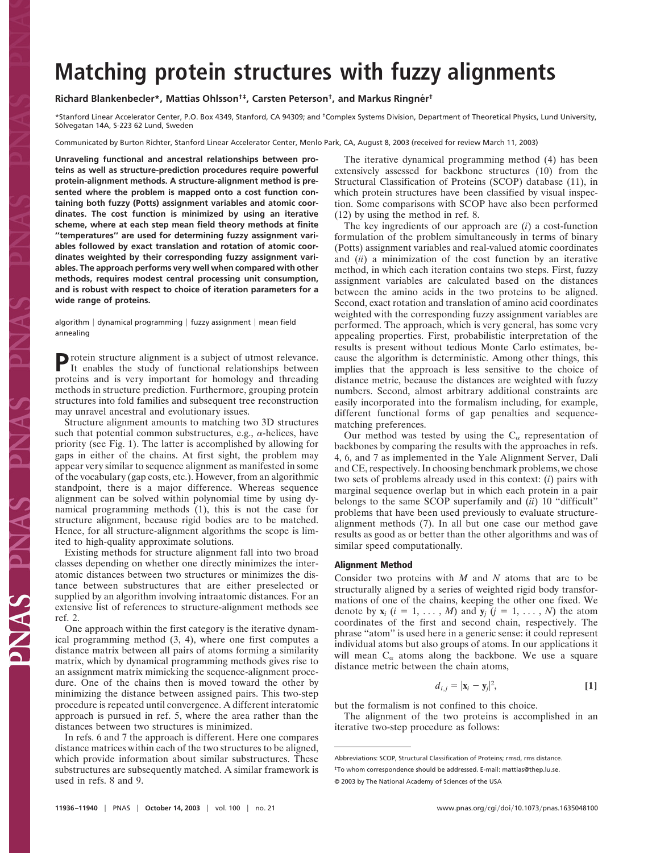## **Matching protein structures with fuzzy alignments**

## **Richard Blankenbecler\*, Mattias Ohlsson†‡, Carsten Peterson†, and Markus Ringne´r†**

\*Stanford Linear Accelerator Center, P.O. Box 4349, Stanford, CA 94309; and †Complex Systems Division, Department of Theoretical Physics, Lund University, Sölvegatan 14A, S-223 62 Lund, Sweden

Communicated by Burton Richter, Stanford Linear Accelerator Center, Menlo Park, CA, August 8, 2003 (received for review March 11, 2003)

**Unraveling functional and ancestral relationships between proteins as well as structure-prediction procedures require powerful protein-alignment methods. A structure-alignment method is presented where the problem is mapped onto a cost function containing both fuzzy (Potts) assignment variables and atomic coordinates. The cost function is minimized by using an iterative scheme, where at each step mean field theory methods at finite ''temperatures'' are used for determining fuzzy assignment variables followed by exact translation and rotation of atomic coordinates weighted by their corresponding fuzzy assignment variables. The approach performs very well when compared with other methods, requires modest central processing unit consumption, and is robust with respect to choice of iteration parameters for a wide range of proteins.**

algorithm | dynamical programming | fuzzy assignment | mean field annealing

Protein structure alignment is a subject of utmost relevance.<br>It enables the study of functional relationships between proteins and is very important for homology and threading methods in structure prediction. Furthermore, grouping protein structures into fold families and subsequent tree reconstruction may unravel ancestral and evolutionary issues.

Structure alignment amounts to matching two 3D structures such that potential common substructures, e.g.,  $\alpha$ -helices, have priority (see Fig. 1). The latter is accomplished by allowing for gaps in either of the chains. At first sight, the problem may appear very similar to sequence alignment as manifested in some of the vocabulary (gap costs, etc.). However, from an algorithmic standpoint, there is a major difference. Whereas sequence alignment can be solved within polynomial time by using dynamical programming methods (1), this is not the case for structure alignment, because rigid bodies are to be matched. Hence, for all structure-alignment algorithms the scope is limited to high-quality approximate solutions.

Existing methods for structure alignment fall into two broad classes depending on whether one directly minimizes the interatomic distances between two structures or minimizes the distance between substructures that are either preselected or supplied by an algorithm involving intraatomic distances. For an extensive list of references to structure-alignment methods see ref. 2.

One approach within the first category is the iterative dynamical programming method (3, 4), where one first computes a distance matrix between all pairs of atoms forming a similarity matrix, which by dynamical programming methods gives rise to an assignment matrix mimicking the sequence-alignment procedure. One of the chains then is moved toward the other by minimizing the distance between assigned pairs. This two-step procedure is repeated until convergence. A different interatomic approach is pursued in ref. 5, where the area rather than the distances between two structures is minimized.

In refs. 6 and 7 the approach is different. Here one compares distance matrices within each of the two structures to be aligned, which provide information about similar substructures. These substructures are subsequently matched. A similar framework is used in refs. 8 and 9.

The iterative dynamical programming method (4) has been extensively assessed for backbone structures (10) from the Structural Classification of Proteins (SCOP) database (11), in which protein structures have been classified by visual inspection. Some comparisons with SCOP have also been performed (12) by using the method in ref. 8.

The key ingredients of our approach are (*i*) a cost-function formulation of the problem simultaneously in terms of binary (Potts) assignment variables and real-valued atomic coordinates and (*ii*) a minimization of the cost function by an iterative method, in which each iteration contains two steps. First, fuzzy assignment variables are calculated based on the distances between the amino acids in the two proteins to be aligned. Second, exact rotation and translation of amino acid coordinates weighted with the corresponding fuzzy assignment variables are performed. The approach, which is very general, has some very appealing properties. First, probabilistic interpretation of the results is present without tedious Monte Carlo estimates, because the algorithm is deterministic. Among other things, this implies that the approach is less sensitive to the choice of distance metric, because the distances are weighted with fuzzy numbers. Second, almost arbitrary additional constraints are easily incorporated into the formalism including, for example, different functional forms of gap penalties and sequencematching preferences.

Our method was tested by using the  $C_{\alpha}$  representation of backbones by comparing the results with the approaches in refs. 4, 6, and 7 as implemented in the Yale Alignment Server, Dali and CE, respectively. In choosing benchmark problems, we chose two sets of problems already used in this context: (*i*) pairs with marginal sequence overlap but in which each protein in a pair belongs to the same SCOP superfamily and (*ii*) 10 ''difficult'' problems that have been used previously to evaluate structurealignment methods (7). In all but one case our method gave results as good as or better than the other algorithms and was of similar speed computationally.

## **Alignment Method**

Consider two proteins with *M* and *N* atoms that are to be structurally aligned by a series of weighted rigid body transformations of one of the chains, keeping the other one fixed. We denote by  $\mathbf{x}_i$  ( $i = 1, \ldots, M$ ) and  $\mathbf{y}_i$  ( $j = 1, \ldots, N$ ) the atom coordinates of the first and second chain, respectively. The phrase ''atom'' is used here in a generic sense: it could represent individual atoms but also groups of atoms. In our applications it will mean  $C_{\alpha}$  atoms along the backbone. We use a square distance metric between the chain atoms,

$$
d_{i,j} = |\mathbf{x}_i - \mathbf{y}_j|^2, \tag{1}
$$

but the formalism is not confined to this choice.

The alignment of the two proteins is accomplished in an iterative two-step procedure as follows:

Abbreviations: SCOP, Structural Classification of Proteins; rmsd, rms distance.

<sup>‡</sup>To whom correspondence should be addressed. E-mail: mattias@thep.lu.se.

<sup>© 2003</sup> by The National Academy of Sciences of the USA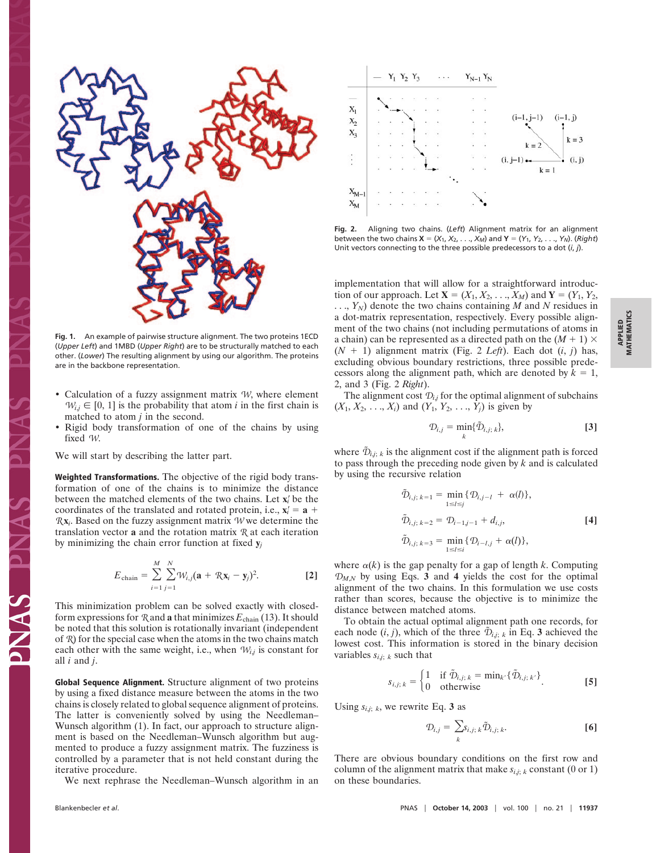

**Fig. 1.** An example of pairwise structure alignment. The two proteins 1ECD (*Upper Left*) and 1MBD (*Upper Right*) are to be structurally matched to each other. (*Lower*) The resulting alignment by using our algorithm. The proteins are in the backbone representation.

- Calculation of a fuzzy assignment matrix  $W$ , where element  $W_{i,j} \in [0, 1]$  is the probability that atom *i* in the first chain is matched to atom *j* in the second.
- Rigid body transformation of one of the chains by using fixed *W*.

We will start by describing the latter part.

**Weighted Transformations.** The objective of the rigid body transformation of one of the chains is to minimize the distance between the matched elements of the two chains. Let **x***<sup>i</sup>* be the coordinates of the translated and rotated protein, i.e.,  $\mathbf{x}'_i = \mathbf{a} + \mathbf{b}$ *R* **x***i*. Based on the fuzzy assignment matrix *W* we determine the translation vector **a** and the rotation matrix *R* at each iteration by minimizing the chain error function at fixed **y***<sup>j</sup>*

$$
E_{\text{chain}} = \sum_{i=1}^{M} \sum_{j=1}^{N} W_{i,j} (\mathbf{a} + R\mathbf{x}_i - \mathbf{y}_j)^2.
$$
 [2]

This minimization problem can be solved exactly with closedform expressions for  $\Re$  and **a** that minimizes  $E_{\text{chain}}(13)$ . It should be noted that this solution is rotationally invariant (independent of *R*) for the special case when the atoms in the two chains match each other with the same weight, i.e., when  $W_{i,j}$  is constant for all *i* and *j*.

**Global Sequence Alignment.** Structure alignment of two proteins by using a fixed distance measure between the atoms in the two chains is closely related to global sequence alignment of proteins. The latter is conveniently solved by using the Needleman– Wunsch algorithm (1). In fact, our approach to structure alignment is based on the Needleman–Wunsch algorithm but augmented to produce a fuzzy assignment matrix. The fuzziness is controlled by a parameter that is not held constant during the iterative procedure.

We next rephrase the Needleman–Wunsch algorithm in an



**Fig. 2.** Aligning two chains. (*Left*) Alignment matrix for an alignment between the two chains  $X = (X_1, X_2, \ldots, X_M)$  and  $Y = (Y_1, Y_2, \ldots, Y_N)$ . (*Right*) Unit vectors connecting to the three possible predecessors to a dot (*i*, *j*).

implementation that will allow for a straightforward introduction of our approach. Let  $X = (X_1, X_2, \ldots, X_M)$  and  $Y = (Y_1, Y_2, \ldots, Y_M)$  $\ldots$ ,  $Y_N$ ) denote the two chains containing M and N residues in a dot-matrix representation, respectively. Every possible alignment of the two chains (not including permutations of atoms in a chain) can be represented as a directed path on the  $(M + 1) \times$  $(N + 1)$  alignment matrix (Fig. 2 *Left*). Each dot  $(i, j)$  has, excluding obvious boundary restrictions, three possible predecessors along the alignment path, which are denoted by  $k = 1$ , 2, and 3 (Fig. 2 *Right*).

The alignment cost  $\mathcal{D}_i$  for the optimal alignment of subchains  $(X_1, X_2, \ldots, X_i)$  and  $(Y_1, Y_2, \ldots, Y_i)$  is given by

$$
\mathcal{D}_{i,j} = \min_k \{ \tilde{\mathcal{D}}_{i,j;\,k} \},\tag{3}
$$

where  $\tilde{\mathcal{D}}_{i,j; k}$  is the alignment cost if the alignment path is forced to pass through the preceding node given by *k* and is calculated by using the recursive relation

$$
\tilde{\mathcal{D}}_{i,j; k=1} = \min_{1 \le l \le j} \{ \mathcal{D}_{i,j-l} + \alpha(l) \},
$$
\n
$$
\tilde{\mathcal{D}}_{i,j; k=2} = \mathcal{D}_{i-1,j-1} + d_{i,j},
$$
\n
$$
\tilde{\mathcal{D}}_{i,j; k=3} = \min_{1 \le l \le i} \{ \mathcal{D}_{i-l,j} + \alpha(l) \},
$$
\n[4]

where  $\alpha(k)$  is the gap penalty for a gap of length *k*. Computing  $D_{M,N}$  by using Eqs. **3** and **4** yields the cost for the optimal alignment of the two chains. In this formulation we use costs rather than scores, because the objective is to minimize the distance between matched atoms.

To obtain the actual optimal alignment path one records, for each node  $(i, j)$ , which of the three  $\mathcal{D}_{i,j; k}$  in Eq. 3 achieved the lowest cost. This information is stored in the binary decision variables  $s_{i,j}$ ; *k* such that

$$
s_{i,j;k} = \begin{cases} 1 & \text{if } \tilde{\mathcal{D}}_{i,j;k} = \min_{k'} \{ \tilde{\mathcal{D}}_{i,j;k'} \} \\ 0 & \text{otherwise} \end{cases}
$$
 [5]

Using  $s_{i,j}$ ; *k*, we rewrite Eq. 3 as

$$
\mathcal{D}_{i,j} = \sum_{k} s_{i,j;k} \tilde{\mathcal{D}}_{i,j;k}.
$$
 [6]

There are obvious boundary conditions on the first row and column of the alignment matrix that make  $s_{i,i,k}$  constant (0 or 1) on these boundaries.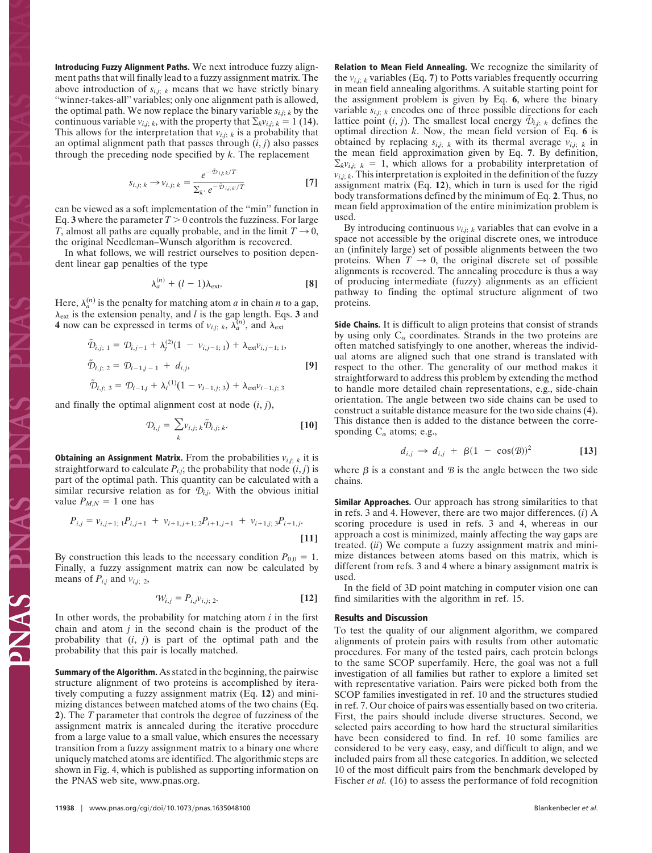**Introducing Fuzzy Alignment Paths.** We next introduce fuzzy alignment paths that will finally lead to a fuzzy assignment matrix. The above introduction of  $s_{i,j; k}$  means that we have strictly binary "winner-takes-all" variables; only one alignment path is allowed, the optimal path. We now replace the binary variable  $s_{i,j; k}$  by the continuous variable  $v_{i,j;k}$ , with the property that  $\Sigma_k v_{i,j;k} = 1$  (14). This allows for the interpretation that  $v_{i,j}$ ;  $k$  is a probability that an optimal alignment path that passes through (*i*, *j*) also passes through the preceding node specified by *k*. The replacement

$$
s_{i,j;\,k} \rightarrow v_{i,j;\,k} = \frac{e^{-\tilde{\mathcal{D}}_{ij;k}/T}}{\sum_{k'} e^{-\tilde{\mathcal{D}}_{ij;k}/T}}
$$
 [7]

can be viewed as a soft implementation of the ''min'' function in Eq. **3** where the parameter  $T > 0$  controls the fuzziness. For large *T*, almost all paths are equally probable, and in the limit  $T \rightarrow 0$ , the original Needleman–Wunsch algorithm is recovered.

In what follows, we will restrict ourselves to position dependent linear gap penalties of the type

$$
\lambda_a^{(n)} + (l-1)\lambda_{\text{ext}}.\tag{8}
$$

Here,  $\lambda_a^{(n)}$  is the penalty for matching atom *a* in chain *n* to a gap,  $\lambda_{\text{ext}}$  is the extension penalty, and *l* is the gap length. Eqs. 3 and **4** now can be expressed in terms of  $v_{i,j}$ ;  $k$ ,  $\lambda_a^{(n)}$ , and  $\lambda_{\text{ext}}$ 

$$
\tilde{\mathcal{D}}_{i,j; 1} = \mathcal{D}_{i,j-1} + \lambda_j^{(2)} (1 - \nu_{i,j-1; 1}) + \lambda_{\text{ext}} \nu_{i,j-1; 1},
$$
  
\n
$$
\tilde{\mathcal{D}}_{i,j; 2} = \mathcal{D}_{i-1,j-1} + d_{i,j},
$$
\n[9]  
\n
$$
\tilde{\mathcal{D}}_{i,j; 3} = \mathcal{D}_{i-1,j} + \lambda_i^{(1)} (1 - \nu_{i-1,j; 3}) + \lambda_{\text{ext}} \nu_{i-1,j; 3}
$$

and finally the optimal alignment cost at node  $(i, j)$ ,

$$
\mathcal{D}_{i,j} = \sum_{k} \nu_{i,j;k} \tilde{\mathcal{D}}_{i,j;k}.
$$
 [10]

**Obtaining an Assignment Matrix.** From the probabilities  $v_{i,j; k}$  it is straightforward to calculate  $P_{i,j}$ ; the probability that node  $(i, j)$  is part of the optimal path. This quantity can be calculated with a similar recursive relation as for  $\mathcal{D}_{i,j}$ . With the obvious initial value  $P_{M,N} = 1$  one has

$$
P_{i,j} = v_{i,j+1;1} P_{i,j+1} + v_{i+1,j+1;2} P_{i+1,j+1} + v_{i+1,j;3} P_{i+1,j}.
$$
\n[11]

By construction this leads to the necessary condition  $P_{0,0} = 1$ . Finally, a fuzzy assignment matrix can now be calculated by means of  $P_{i,j}$  and  $v_{i,j;2}$ ,

$$
\mathcal{W}_{i,j} = P_{i,j} v_{i,j;2}.\tag{12}
$$

In other words, the probability for matching atom *i* in the first chain and atom *j* in the second chain is the product of the probability that (*i*, *j*) is part of the optimal path and the probability that this pair is locally matched.

**Summary of the Algorithm.** As stated in the beginning, the pairwise structure alignment of two proteins is accomplished by iteratively computing a fuzzy assignment matrix (Eq. **12**) and minimizing distances between matched atoms of the two chains (Eq. **2**). The *T* parameter that controls the degree of fuzziness of the assignment matrix is annealed during the iterative procedure from a large value to a small value, which ensures the necessary transition from a fuzzy assignment matrix to a binary one where uniquely matched atoms are identified. The algorithmic steps are shown in Fig. 4, which is published as supporting information on the PNAS web site, www.pnas.org.

**Relation to Mean Field Annealing.** We recognize the similarity of the  $v_{i,j;k}$  variables (Eq. 7) to Potts variables frequently occurring in mean field annealing algorithms. A suitable starting point for the assignment problem is given by Eq. **6**, where the binary variable  $s_{i,j}$ ;  $k$  encodes one of three possible directions for each lattice point  $(i, j)$ . The smallest local energy  $\tilde{\mathcal{D}}_{i,j; k}$  defines the optimal direction *k*. Now, the mean field version of Eq. **6** is obtained by replacing  $s_{i,j; k}$  with its thermal average  $v_{i,j; k}$  in the mean field approximation given by Eq. 7. By definition,  $\Sigma_k v_{i,j}$ ;  $k = 1$ , which allows for a probability interpretation of  $v_{i,j;k}$ . This interpretation is exploited in the definition of the fuzzy assignment matrix (Eq. **12**), which in turn is used for the rigid body transformations defined by the minimum of Eq. **2**. Thus, no mean field approximation of the entire minimization problem is used.

By introducing continuous  $v_{i,j;k}$  variables that can evolve in a space not accessible by the original discrete ones, we introduce an (infinitely large) set of possible alignments between the two proteins. When  $T \to 0$ , the original discrete set of possible alignments is recovered. The annealing procedure is thus a way of producing intermediate (fuzzy) alignments as an efficient pathway to finding the optimal structure alignment of two proteins.

**Side Chains.** It is difficult to align proteins that consist of strands by using only  $C_{\alpha}$  coordinates. Strands in the two proteins are often matched satisfyingly to one another, whereas the individual atoms are aligned such that one strand is translated with respect to the other. The generality of our method makes it straightforward to address this problem by extending the method to handle more detailed chain representations, e.g., side-chain orientation. The angle between two side chains can be used to construct a suitable distance measure for the two side chains (4). This distance then is added to the distance between the corresponding  $C_{\alpha}$  atoms; e.g.,

$$
d_{i,j} \rightarrow d_{i,j} + \beta (1 - \cos(\mathcal{B}))^2
$$
 [13]

where  $\beta$  is a constant and  $\beta$  is the angle between the two side chains.

**Similar Approaches.** Our approach has strong similarities to that in refs. 3 and 4. However, there are two major differences. (*i*) A scoring procedure is used in refs. 3 and 4, whereas in our approach a cost is minimized, mainly affecting the way gaps are treated. (*ii*) We compute a fuzzy assignment matrix and minimize distances between atoms based on this matrix, which is different from refs. 3 and 4 where a binary assignment matrix is used.

In the field of 3D point matching in computer vision one can find similarities with the algorithm in ref. 15.

## **Results and Discussion**

To test the quality of our alignment algorithm, we compared alignments of protein pairs with results from other automatic procedures. For many of the tested pairs, each protein belongs to the same SCOP superfamily. Here, the goal was not a full investigation of all families but rather to explore a limited set with representative variation. Pairs were picked both from the SCOP families investigated in ref. 10 and the structures studied in ref. 7. Our choice of pairs was essentially based on two criteria. First, the pairs should include diverse structures. Second, we selected pairs according to how hard the structural similarities have been considered to find. In ref. 10 some families are considered to be very easy, easy, and difficult to align, and we included pairs from all these categories. In addition, we selected 10 of the most difficult pairs from the benchmark developed by Fischer *et al.* (16) to assess the performance of fold recognition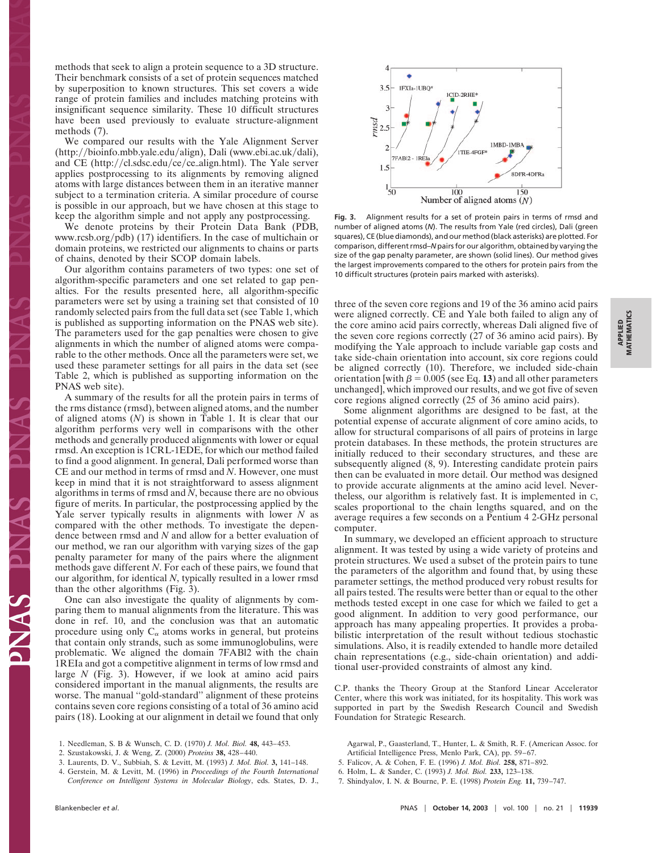methods that seek to align a protein sequence to a 3D structure. Their benchmark consists of a set of protein sequences matched by superposition to known structures. This set covers a wide range of protein families and includes matching proteins with insignificant sequence similarity. These 10 difficult structures have been used previously to evaluate structure-alignment methods (7).

We compared our results with the Yale Alignment Server (http://bioinfo.mbb.yale.edu/align), Dali (www.ebi.ac.uk/dali), and CE (http://cl.sdsc.edu/ce/ce\_align.html). The Yale server applies postprocessing to its alignments by removing aligned atoms with large distances between them in an iterative manner subject to a termination criteria. A similar procedure of course is possible in our approach, but we have chosen at this stage to keep the algorithm simple and not apply any postprocessing.

We denote proteins by their Protein Data Bank (PDB, www.rcsb.org/pdb) (17) identifiers. In the case of multichain or domain proteins, we restricted our alignments to chains or parts of chains, denoted by their SCOP domain labels.

Our algorithm contains parameters of two types: one set of algorithm-specific parameters and one set related to gap penalties. For the results presented here, all algorithm-specific parameters were set by using a training set that consisted of 10 randomly selected pairs from the full data set (see Table 1, which is published as supporting information on the PNAS web site). The parameters used for the gap penalties were chosen to give alignments in which the number of aligned atoms were comparable to the other methods. Once all the parameters were set, we used these parameter settings for all pairs in the data set (see Table 2, which is published as supporting information on the PNAS web site).

A summary of the results for all the protein pairs in terms of the rms distance (rmsd), between aligned atoms, and the number of aligned atoms (*N*) is shown in Table 1. It is clear that our algorithm performs very well in comparisons with the other methods and generally produced alignments with lower or equal rmsd. An exception is 1CRL-1EDE, for which our method failed to find a good alignment. In general, Dali performed worse than CE and our method in terms of rmsd and *N*. However, one must keep in mind that it is not straightforward to assess alignment algorithms in terms of rmsd and *N*, because there are no obvious figure of merits. In particular, the postprocessing applied by the Yale server typically results in alignments with lower *N* as compared with the other methods. To investigate the dependence between rmsd and *N* and allow for a better evaluation of our method, we ran our algorithm with varying sizes of the gap penalty parameter for many of the pairs where the alignment methods gave different *N*. For each of these pairs, we found that our algorithm, for identical *N*, typically resulted in a lower rmsd than the other algorithms (Fig. 3).

One can also investigate the quality of alignments by comparing them to manual alignments from the literature. This was done in ref. 10, and the conclusion was that an automatic procedure using only  $C_{\alpha}$  atoms works in general, but proteins that contain only strands, such as some immunoglobulins, were problematic. We aligned the domain 7FABl2 with the chain 1REIa and got a competitive alignment in terms of low rmsd and large *N* (Fig. 3). However, if we look at amino acid pairs considered important in the manual alignments, the results are worse. The manual ''gold-standard'' alignment of these proteins contains seven core regions consisting of a total of 36 amino acid pairs (18). Looking at our alignment in detail we found that only

**Fig. 3.** Alignment results for a set of protein pairs in terms of rmsd and number of aligned atoms (*N*). The results from Yale (red circles), Dali (green squares), CE (blue diamonds), and our method (black asterisks) are plotted. For comparison, different rmsd–*N* pairs for our algorithm, obtained by varying the size of the gap penalty parameter, are shown (solid lines). Our method gives the largest improvements compared to the others for protein pairs from the 10 difficult structures (protein pairs marked with asterisks).

three of the seven core regions and 19 of the 36 amino acid pairs were aligned correctly. CE and Yale both failed to align any of the core amino acid pairs correctly, whereas Dali aligned five of the seven core regions correctly (27 of 36 amino acid pairs). By modifying the Yale approach to include variable gap costs and take side-chain orientation into account, six core regions could be aligned correctly (10). Therefore, we included side-chain orientation [with  $\beta = 0.005$  (see Eq. 13) and all other parameters unchanged], which improved our results, and we got five of seven core regions aligned correctly (25 of 36 amino acid pairs).

Some alignment algorithms are designed to be fast, at the potential expense of accurate alignment of core amino acids, to allow for structural comparisons of all pairs of proteins in large protein databases. In these methods, the protein structures are initially reduced to their secondary structures, and these are subsequently aligned (8, 9). Interesting candidate protein pairs then can be evaluated in more detail. Our method was designed to provide accurate alignments at the amino acid level. Nevertheless, our algorithm is relatively fast. It is implemented in C, scales proportional to the chain lengths squared, and on the average requires a few seconds on a Pentium 4 2-GHz personal computer.

In summary, we developed an efficient approach to structure alignment. It was tested by using a wide variety of proteins and protein structures. We used a subset of the protein pairs to tune the parameters of the algorithm and found that, by using these parameter settings, the method produced very robust results for all pairs tested. The results were better than or equal to the other methods tested except in one case for which we failed to get a good alignment. In addition to very good performance, our approach has many appealing properties. It provides a probabilistic interpretation of the result without tedious stochastic simulations. Also, it is readily extended to handle more detailed chain representations (e.g., side-chain orientation) and additional user-provided constraints of almost any kind.

C.P. thanks the Theory Group at the Stanford Linear Accelerator Center, where this work was initiated, for its hospitality. This work was supported in part by the Swedish Research Council and Swedish Foundation for Strategic Research.

- Agarwal, P., Gaasterland, T., Hunter, L. & Smith, R. F. (American Assoc. for Artificial Intelligence Press, Menlo Park, CA), pp. 59–67.
- 5. Falicov, A. & Cohen, F. E. (1996) *J. Mol. Biol.* **258,** 871–892.
- 6. Holm, L. & Sander, C. (1993) *J. Mol. Biol.* **233,** 123–138.
- 7. Shindyalov, I. N. & Bourne, P. E. (1998) *Protein Eng.* **11,** 739–747.

<sup>1.</sup> Needleman, S. B & Wunsch, C. D. (1970) *J. Mol. Biol.* **48,** 443–453.

<sup>2.</sup> Szustakowski, J. & Weng, Z. (2000) *Proteins* **38,** 428–440.

<sup>3.</sup> Laurents, D. V., Subbiah, S. & Levitt, M. (1993) *J. Mol. Biol.* **3,** 141–148.

<sup>4.</sup> Gerstein, M. & Levitt, M. (1996) in *Proceedings of the Fourth International Conference on Intelligent Systems in Molecular Biology*, eds. States, D. J.,

٠ 3.5 1FXIa-1UBQ\* 1CID-2RHE\* 1MBD-1MBA 1TIE-4FGF\* **7FABI2 - IREIa** .<br>8DFR-4DFRa  $\frac{1}{50}$ 100 150 Number of aligned atoms  $(N)$